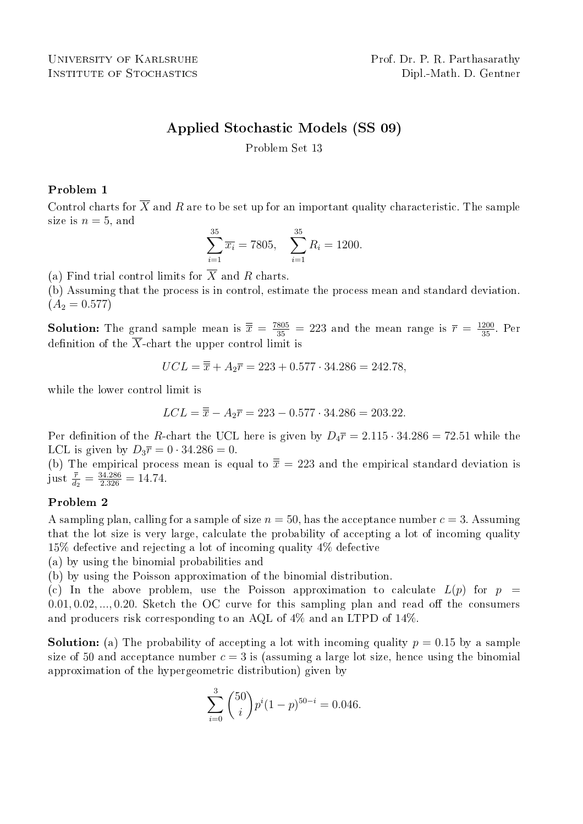# Applied Stochastic Models (SS 09)

Problem Set 13

## Problem 1

Control charts for  $\overline{X}$  and R are to be set up for an important quality characteristic. The sample size is  $n = 5$ , and

$$
\sum_{i=1}^{35} \overline{x_i} = 7805, \quad \sum_{i=1}^{35} R_i = 1200.
$$

(a) Find trial control limits for  $\overline{X}$  and R charts.

(b) Assuming that the process is in control, estimate the process mean and standard deviation.  $(A_2 = 0.577)$ 

**Solution:** The grand sample mean is  $\overline{\overline{x}} = \frac{7805}{35} = 223$  and the mean range is  $\overline{r} = \frac{1200}{35}$ . Per definition of the  $\overline{X}$ -chart the upper control limit is

$$
UCL = \overline{\overline{x}} + A_2 \overline{r} = 223 + 0.577 \cdot 34.286 = 242.78,
$$

while the lower control limit is

$$
LCL = \overline{\overline{x}} - A_2 \overline{r} = 223 - 0.577 \cdot 34.286 = 203.22.
$$

Per definition of the R-chart the UCL here is given by  $D_4\bar{r} = 2.115 \cdot 34.286 = 72.51$  while the LCL is given by  $D_3\bar{r} = 0.34.286 = 0.$ 

(b) The empirical process mean is equal to  $\bar{\overline{x}} = 223$  and the empirical standard deviation is just  $\frac{\bar{r}}{d_2} = \frac{34.286}{2.326} = 14.74.$ 

### Problem 2

A sampling plan, calling for a sample of size  $n = 50$ , has the acceptance number  $c = 3$ . Assuming that the lot size is very large, calculate the probability of accepting a lot of incoming quality 15% defective and rejecting a lot of incoming quality 4% defective

(a) by using the binomial probabilities and

(b) by using the Poisson approximation of the binomial distribution.

(c) In the above problem, use the Poisson approximation to calculate  $L(p)$  for  $p =$  $0.01, 0.02, \ldots, 0.20$ . Sketch the OC curve for this sampling plan and read off the consumers and producers risk corresponding to an AQL of 4% and an LTPD of 14%.

**Solution:** (a) The probability of accepting a lot with incoming quality  $p = 0.15$  by a sample size of 50 and acceptance number  $c = 3$  is (assuming a large lot size, hence using the binomial approximation of the hypergeometric distribution) given by

$$
\sum_{i=0}^{3} {50 \choose i} p^i (1-p)^{50-i} = 0.046.
$$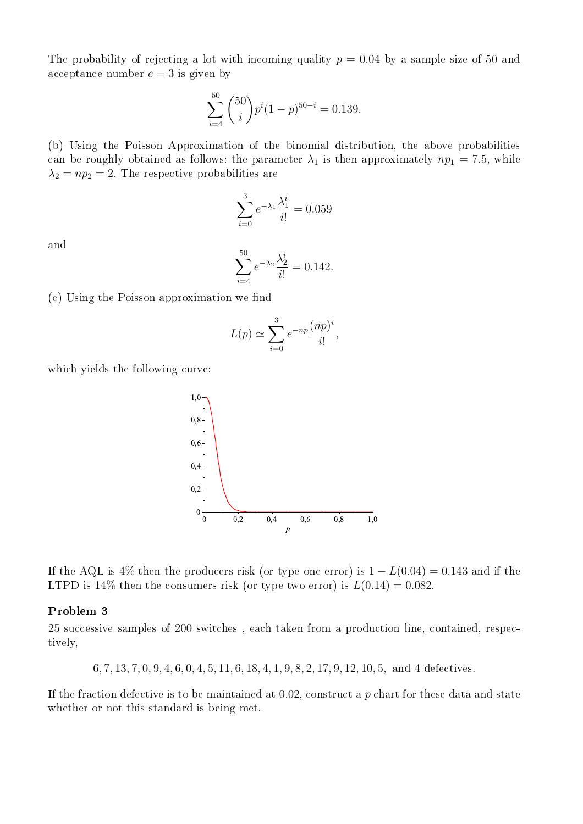The probability of rejecting a lot with incoming quality  $p = 0.04$  by a sample size of 50 and acceptance number  $c = 3$  is given by

$$
\sum_{i=4}^{50} {50 \choose i} p^i (1-p)^{50-i} = 0.139.
$$

(b) Using the Poisson Approximation of the binomial distribution, the above probabilities can be roughly obtained as follows: the parameter  $\lambda_1$  is then approximately  $np_1 = 7.5$ , while  $\lambda_2 = np_2 = 2$ . The respective probabilities are

$$
\sum_{i=0}^{3} e^{-\lambda_1} \frac{\lambda_1^i}{i!} = 0.059
$$

and

$$
\sum_{i=4}^{50} e^{-\lambda_2} \frac{\lambda_2^i}{i!} = 0.142.
$$

 $(c)$  Using the Poisson approximation we find

$$
L(p) \simeq \sum_{i=0}^{3} e^{-np} \frac{(np)^i}{i!},
$$

which yields the following curve:



If the AQL is 4% then the producers risk (or type one error) is  $1 - L(0.04) = 0.143$  and if the LTPD is 14% then the consumers risk (or type two error) is  $L(0.14) = 0.082$ .

### Problem 3

25 successive samples of 200 switches , each taken from a production line, contained, respectively,

$$
6, 7, 13, 7, 0, 9, 4, 6, 0, 4, 5, 11, 6, 18, 4, 1, 9, 8, 2, 17, 9, 12, 10, 5, and 4 defectives.
$$

If the fraction defective is to be maintained at  $0.02$ , construct a p chart for these data and state whether or not this standard is being met.